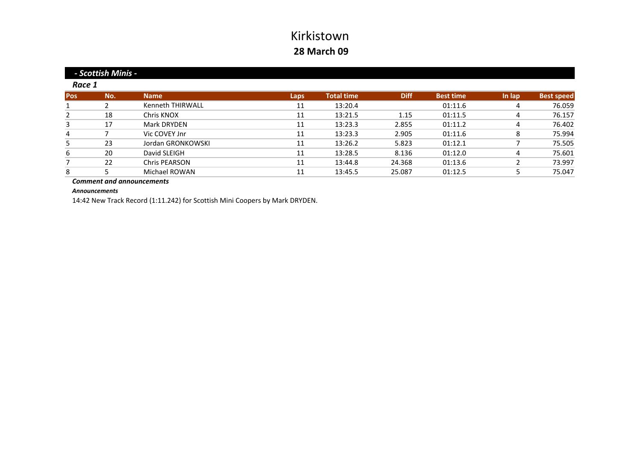|            | - Scottish Minis - |                      |      |                   |             |                  |        |                   |  |  |
|------------|--------------------|----------------------|------|-------------------|-------------|------------------|--------|-------------------|--|--|
| Race 1     |                    |                      |      |                   |             |                  |        |                   |  |  |
| <b>Pos</b> | No.                | <b>Name</b>          | Laps | <b>Total time</b> | <b>Diff</b> | <b>Best time</b> | In lap | <b>Best speed</b> |  |  |
|            |                    | Kenneth THIRWALL     | 11   | 13:20.4           |             | 01:11.6          |        | 76.059            |  |  |
| 2          | 18                 | Chris KNOX           | 11   | 13:21.5           | 1.15        | 01:11.5          | 4      | 76.157            |  |  |
| 3          | 17                 | Mark DRYDEN          | 11   | 13:23.3           | 2.855       | 01:11.2          | 4      | 76.402            |  |  |
| 4          |                    | Vic COVEY Jnr        | 11   | 13:23.3           | 2.905       | 01:11.6          | 8      | 75.994            |  |  |
| 5          | 23                 | Jordan GRONKOWSKI    | 11   | 13:26.2           | 5.823       | 01:12.1          |        | 75.505            |  |  |
| 6          | 20                 | David SLEIGH         | 11   | 13:28.5           | 8.136       | 01:12.0          | 4      | 75.601            |  |  |
|            | 22                 | <b>Chris PEARSON</b> | 11   | 13:44.8           | 24.368      | 01:13.6          |        | 73.997            |  |  |
| 8          |                    | Michael ROWAN        | 11   | 13:45.5           | 25.087      | 01:12.5          |        | 75.047            |  |  |

*Comment and announcements*

*Announcements*

14:42 New Track Record (1:11.242) for Scottish Mini Coopers by Mark DRYDEN.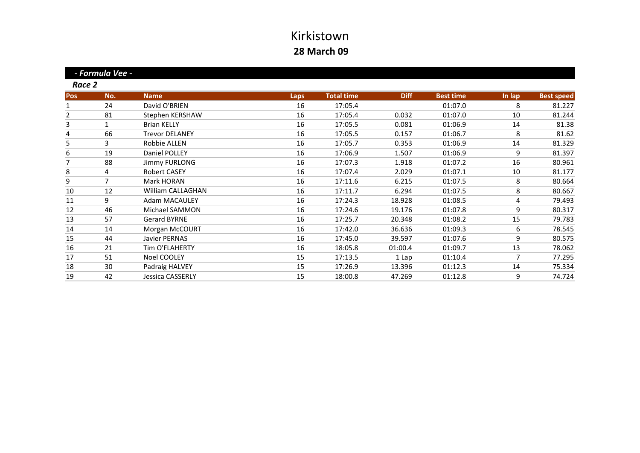**Pos No. Name Laps Total time Diff Best time In lap Best speed** 1 24 David O'BRIEN O'BRIEN 16 17:05.4 01:07.0 8 81.227 2 81 Stephen KERSHAW 16 17:05.4 0.032 01:07.0 10 81.244 3 1 Brian KELLY 16 17:05.5 0.081 01:06.9 14 81.38 4 66 Trevor DELANEY DELANEY 16 17:05.5 0.157 01:06.7 8 81.6281.62 5 3 Robbie ALLEN ALLEN 16 17:05.7 0.353 01:06.9 14 81.32981.329 6 19 Daniel POLLEY POLLEY 16 17:06.9 1.507 01:06.9 9 81.39781.397 7 88 Jimmy FURLONG 16 17:07.3 1.918 01:07.2 16 80.961 8 4 Robert CASEY 16 17:07.4 2.029 01:07.1 10 81.177 9 7 Mark HORAN HORAN 16 17:11.6 6.215 01:07.5 8 80.66480.664 10 12 William CALLAGHAN 16 17:11.7 6.294 01:07.5 8 80.667 11 9 Adam MACAULEY MACAULEY 16 17:24.3 18.928 01:08.5 4 79.493 12 46 Michael SAMMON 16 17:24.6 19.176 01:07.8 9 80.317 13 57 Gerard BYRNE BYRNE 16 17:25.7 20.348 01:08.2 15 79.783 14 14 Morgan McCOURT 16 17:42.0 36.636 01:09.3 6 78.545 15 44 Javier PERNAS PERNAS 16 17:45.0 39.597 01:07.6 9 80.57580.575 16 21 Tim O'FLAHERTY 16 18:05.8 01:00.4 01:09.7 13 78.062 17 51 Noel COOLEY 15 17:13.5 11 Lap 01:10.4 7 77.295 18 30Padraig HALVEY 15 17:26.9 13.396 01:12.3 14 75.334 19 42 Jessica CASSERLY CASSERLY 15 18:00.8 47.269 01:12.8 9 74.72474.724 *Race 2 ‐ Formula Vee ‐*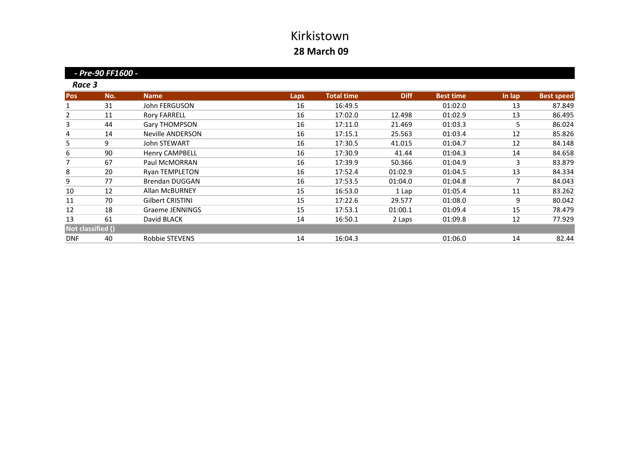|                   | - Pre-90 FF1600 - |                         |             |                   |             |                  |        |                   |
|-------------------|-------------------|-------------------------|-------------|-------------------|-------------|------------------|--------|-------------------|
| Race 3            |                   |                         |             |                   |             |                  |        |                   |
| <b>Pos</b>        | No.               | <b>Name</b>             | <b>Laps</b> | <b>Total time</b> | <b>Diff</b> | <b>Best time</b> | In lap | <b>Best speed</b> |
| 1                 | 31                | John FERGUSON           | 16          | 16:49.5           |             | 01:02.0          | 13     | 87.849            |
| 2                 | 11                | <b>Rory FARRELL</b>     | 16          | 17:02.0           | 12.498      | 01:02.9          | 13     | 86.495            |
| 3                 | 44                | <b>Gary THOMPSON</b>    | 16          | 17:11.0           | 21.469      | 01:03.3          | 5      | 86.024            |
| 4                 | 14                | <b>Neville ANDERSON</b> | 16          | 17:15.1           | 25.563      | 01:03.4          | 12     | 85.826            |
| 5                 | 9                 | <b>John STEWART</b>     | 16          | 17:30.5           | 41.015      | 01:04.7          | 12     | 84.148            |
| 6                 | 90                | <b>Henry CAMPBELL</b>   | 16          | 17:30.9           | 41.44       | 01:04.3          | 14     | 84.658            |
| 7                 | 67                | Paul McMORRAN           | 16          | 17:39.9           | 50.366      | 01:04.9          | 3      | 83.879            |
| 8                 | 20                | <b>Ryan TEMPLETON</b>   | 16          | 17:52.4           | 01:02.9     | 01:04.5          | 13     | 84.334            |
| 9                 | 77                | <b>Brendan DUGGAN</b>   | 16          | 17:53.5           | 01:04.0     | 01:04.8          | 7      | 84.043            |
| 10                | 12                | <b>Allan McBURNEY</b>   | 15          | 16:53.0           | 1 Lap       | 01:05.4          | 11     | 83.262            |
| 11                | 70                | <b>Gilbert CRISTINI</b> | 15          | 17:22.6           | 29.577      | 01:08.0          | 9      | 80.042            |
| 12                | 18                | Graeme JENNINGS         | 15          | 17:53.1           | 01:00.1     | 01:09.4          | 15     | 78.479            |
| 13                | 61                | David BLACK             | 14          | 16:50.1           | 2 Laps      | 01:09.8          | 12     | 77.929            |
| Not classified () |                   |                         |             |                   |             |                  |        |                   |
| <b>DNF</b>        | 40                | Robbie STEVENS          | 14          | 16:04.3           |             | 01:06.0          | 14     | 82.44             |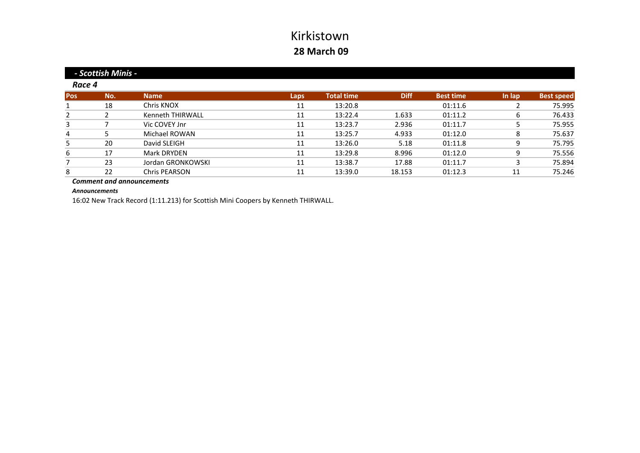|        | - Scottish Minis - |                      |      |                   |             |                  |        |                   |  |  |
|--------|--------------------|----------------------|------|-------------------|-------------|------------------|--------|-------------------|--|--|
| Race 4 |                    |                      |      |                   |             |                  |        |                   |  |  |
| Pos    | No.                | <b>Name</b>          | Laps | <b>Total time</b> | <b>Diff</b> | <b>Best time</b> | In lap | <b>Best speed</b> |  |  |
|        | 18                 | Chris KNOX           | 11   | 13:20.8           |             | 01:11.6          |        | 75.995            |  |  |
| 2      |                    | Kenneth THIRWALL     | 11   | 13:22.4           | 1.633       | 01:11.2          | 6      | 76.433            |  |  |
| 3      |                    | Vic COVEY Jnr        | 11   | 13:23.7           | 2.936       | 01:11.7          |        | 75.955            |  |  |
| 4      |                    | Michael ROWAN        | 11   | 13:25.7           | 4.933       | 01:12.0          | 8      | 75.637            |  |  |
| 5      | 20                 | David SLEIGH         | 11   | 13:26.0           | 5.18        | 01:11.8          | 9      | 75.795            |  |  |
| 6      | 17                 | Mark DRYDEN          | 11   | 13:29.8           | 8.996       | 01:12.0          | 9      | 75.556            |  |  |
|        | 23                 | Jordan GRONKOWSKI    | 11   | 13:38.7           | 17.88       | 01:11.7          | 3      | 75.894            |  |  |
| 8      | 22                 | <b>Chris PEARSON</b> | 11   | 13:39.0           | 18.153      | 01:12.3          | 11     | 75.246            |  |  |

*Comment and announcements*

*Announcements*

16:02 New Track Record (1:11.213) for Scottish Mini Coopers by Kenneth THIRWALL.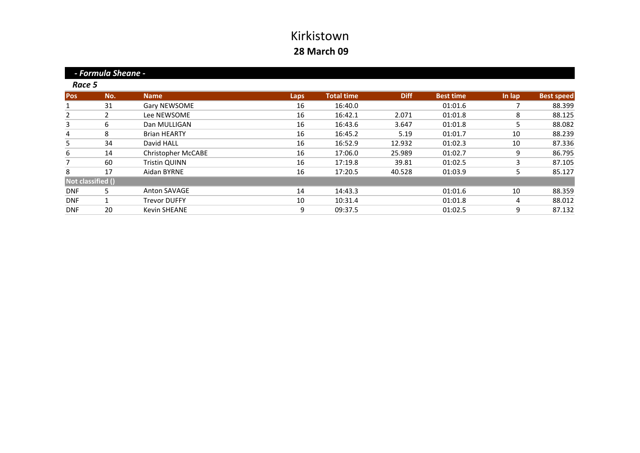**Pos No. Name Laps Total time Diff Best time In lap Best speed** 1 31 Gary NEWSOME 16 16:40.0 01:01.6 7 88.399 2 2 Lee NEWSOME e NEWSOME 16 16:42.1 2.071 01:01.8 8 88.125 88.125 3 6 Dan MULLIGAN 16 16:43.6 3.647 01:01.8 5 88.082 4 8 Brian HEARTY n HEARTY 16 16:45.2 5.19 01:01.7 10 88.239 5 34 David HALL HALL 16 16:52.9 12.932 01:02.3 10 87.336 6 14 Christopher McCABE 16 17:06.0 25.989 01:02.7 9 86.795 7 60 Tristin QUINN QUINN 16 17:19.8 39.81 01:02.5 3 87.105 8 17 Aidan BYRNE 16 17:20.5 40.528 01:03.9 5 85.127 DNF 5 Anton SAVAGE 14 14:43.3 01:01.6 10 88.359 DNF 1 Trevor DUFFY DUFFY 10 10:31.4 01:01.8 4 88.01288.012 DNF 20 Kevin SHEANE n SHEANE 9 09:37.5 01:02.5 9 87.132  *‐ Formula Sheane ‐* **Not classified ()** *Race 5*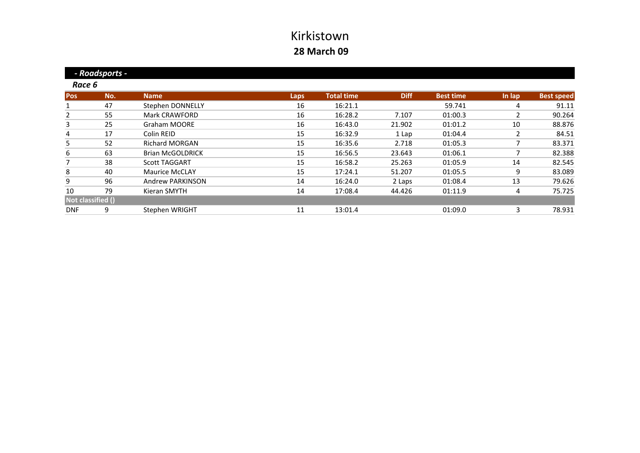|                   | - Roadsports - |                         |             |                   |             |                  |        |                   |
|-------------------|----------------|-------------------------|-------------|-------------------|-------------|------------------|--------|-------------------|
| Race 6            |                |                         |             |                   |             |                  |        |                   |
| <b>Pos</b>        | No.            | <b>Name</b>             | <b>Laps</b> | <b>Total time</b> | <b>Diff</b> | <b>Best time</b> | In lap | <b>Best speed</b> |
|                   | 47             | Stephen DONNELLY        | 16          | 16:21.1           |             | 59.741           | 4      | 91.11             |
| 2                 | 55             | <b>Mark CRAWFORD</b>    | 16          | 16:28.2           | 7.107       | 01:00.3          | 2      | 90.264            |
| 3                 | 25             | <b>Graham MOORE</b>     | 16          | 16:43.0           | 21.902      | 01:01.2          | 10     | 88.876            |
| 4                 | 17             | Colin REID              | 15          | 16:32.9           | 1 Lap       | 01:04.4          | 2      | 84.51             |
| 5                 | 52             | <b>Richard MORGAN</b>   | 15          | 16:35.6           | 2.718       | 01:05.3          |        | 83.371            |
| 6                 | 63             | <b>Brian McGOLDRICK</b> | 15          | 16:56.5           | 23.643      | 01:06.1          | ┑      | 82.388            |
| 7                 | 38             | <b>Scott TAGGART</b>    | 15          | 16:58.2           | 25.263      | 01:05.9          | 14     | 82.545            |
| 8                 | 40             | <b>Maurice McCLAY</b>   | 15          | 17:24.1           | 51.207      | 01:05.5          | 9      | 83.089            |
| 9                 | 96             | <b>Andrew PARKINSON</b> | 14          | 16:24.0           | 2 Laps      | 01:08.4          | 13     | 79.626            |
| 10                | 79             | Kieran SMYTH            | 14          | 17:08.4           | 44.426      | 01:11.9          | 4      | 75.725            |
| Not classified () |                |                         |             |                   |             |                  |        |                   |
| <b>DNF</b>        | 9              | Stephen WRIGHT          | 11          | 13:01.4           |             | 01:09.0          | 3      | 78.931            |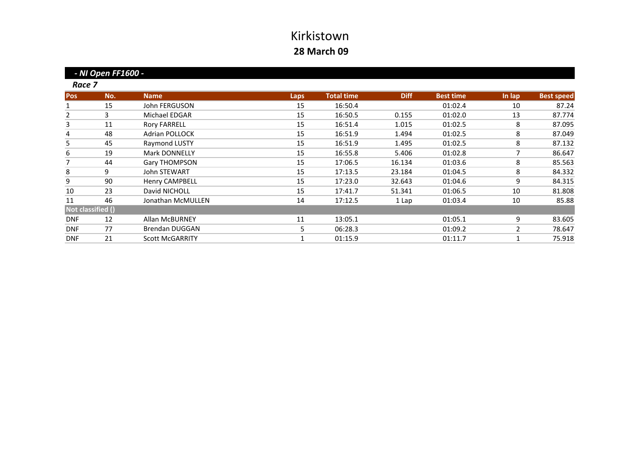**Pos No. Name Laps Total time Diff Best time In lap Best speed** 1 15 John FERGUSON 15 16:50.4 01:02.4 10 87.24 2 3 Michael EDGAR EDGAR 15 16:50.5 0.155 01:02.0 13 87.77487.774 3 11 Rory FARRELL 15 16:51.4 1.015 01:02.5 8 87.095 4 48 Adrian POLLOCK POLLOCK 15 16:51.9 1.494 01:02.5 8 87.049 5 45Raymond LUSTY 15 16:51.9 1.495 01:02.5 8 87.132 6 19Mark DONNELLY 15 16:55.8 5.406 01:02.8 7 86.647 7 44Gary THOMPSON 15 17:06.5 16.134 01:03.6 8 85.563 8 9 John STEWART STEWART 15 17:13.5 23.184 01:04.5 8 84.332 9 90Henry CAMPBELL 15 17:23.0 32.643 01:04.6 9 84.315 10 23 David NICHOLL NICHOLL 15 17:41.7 51.341 01:06.5 10 81.808 11 46 Jonathan McMULLEN n McMULLEN 14 17:12.5 1 Lap 01:03.4 10 85.88 DNF 12 Allan McBURNEY 11 13:05.1 01:05.1 9 83.605 DNF 77 Brendan DUGGAN 5 06:28.3 01:09.2 2 78.647 DNF 21Scott McGARRITY **1** 01:15.9 01:11.7 1 75.918  *‐ NI Open FF1600 ‐* **Not classified ()** *Race 7*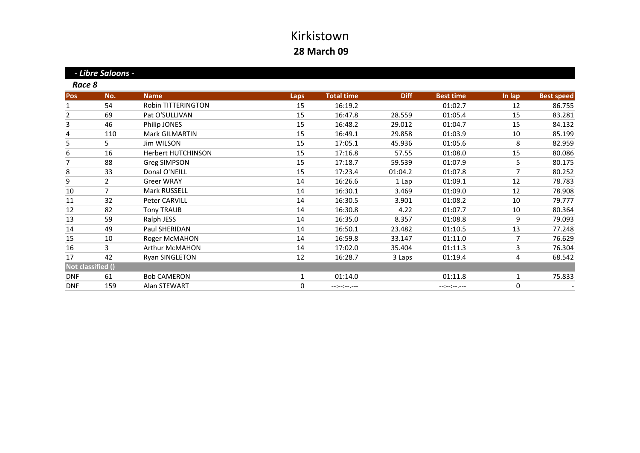*‐ Libre Saloons ‐*

*Race 8*

| <b>Pos</b> | No.               | <b>Name</b>               | Laps         | <b>Total time</b> | <b>Diff</b> | <b>Best time</b>                                                                                                                                                                                                                                                                                                                                                                                                                               | In lap | <b>Best speed</b> |
|------------|-------------------|---------------------------|--------------|-------------------|-------------|------------------------------------------------------------------------------------------------------------------------------------------------------------------------------------------------------------------------------------------------------------------------------------------------------------------------------------------------------------------------------------------------------------------------------------------------|--------|-------------------|
|            | 54                | <b>Robin TITTERINGTON</b> | 15           | 16:19.2           |             | 01:02.7                                                                                                                                                                                                                                                                                                                                                                                                                                        | 12     | 86.755            |
| 2          | 69                | Pat O'SULLIVAN            | 15           | 16:47.8           | 28.559      | 01:05.4                                                                                                                                                                                                                                                                                                                                                                                                                                        | 15     | 83.281            |
| 3          | 46                | Philip JONES              | 15           | 16:48.2           | 29.012      | 01:04.7                                                                                                                                                                                                                                                                                                                                                                                                                                        | 15     | 84.132            |
| 4          | 110               | Mark GILMARTIN            | 15           | 16:49.1           | 29.858      | 01:03.9                                                                                                                                                                                                                                                                                                                                                                                                                                        | 10     | 85.199            |
| 5          | 5.                | Jim WILSON                | 15           | 17:05.1           | 45.936      | 01:05.6                                                                                                                                                                                                                                                                                                                                                                                                                                        | 8      | 82.959            |
| 6          | 16                | Herbert HUTCHINSON        | 15           | 17:16.8           | 57.55       | 01:08.0                                                                                                                                                                                                                                                                                                                                                                                                                                        | 15     | 80.086            |
| 7          | 88                | <b>Greg SIMPSON</b>       | 15           | 17:18.7           | 59.539      | 01:07.9                                                                                                                                                                                                                                                                                                                                                                                                                                        | 5      | 80.175            |
| 8          | 33                | Donal O'NEILL             | 15           | 17:23.4           | 01:04.2     | 01:07.8                                                                                                                                                                                                                                                                                                                                                                                                                                        | 7      | 80.252            |
| 9          | $\overline{2}$    | <b>Greer WRAY</b>         | 14           | 16:26.6           | 1 Lap       | 01:09.1                                                                                                                                                                                                                                                                                                                                                                                                                                        | 12     | 78.783            |
| 10         | 7                 | Mark RUSSELL              | 14           | 16:30.1           | 3.469       | 01:09.0                                                                                                                                                                                                                                                                                                                                                                                                                                        | 12     | 78.908            |
| 11         | 32                | Peter CARVILL             | 14           | 16:30.5           | 3.901       | 01:08.2                                                                                                                                                                                                                                                                                                                                                                                                                                        | 10     | 79.777            |
| 12         | 82                | <b>Tony TRAUB</b>         | 14           | 16:30.8           | 4.22        | 01:07.7                                                                                                                                                                                                                                                                                                                                                                                                                                        | 10     | 80.364            |
| 13         | 59                | Ralph JESS                | 14           | 16:35.0           | 8.357       | 01:08.8                                                                                                                                                                                                                                                                                                                                                                                                                                        | 9      | 79.093            |
| 14         | 49                | Paul SHERIDAN             | 14           | 16:50.1           | 23.482      | 01:10.5                                                                                                                                                                                                                                                                                                                                                                                                                                        | 13     | 77.248            |
| 15         | 10                | Roger McMAHON             | 14           | 16:59.8           | 33.147      | 01:11.0                                                                                                                                                                                                                                                                                                                                                                                                                                        | 7      | 76.629            |
| 16         | 3                 | <b>Arthur McMAHON</b>     | 14           | 17:02.0           | 35.404      | 01:11.3                                                                                                                                                                                                                                                                                                                                                                                                                                        | 3      | 76.304            |
| 17         | 42                | <b>Ryan SINGLETON</b>     | 12           | 16:28.7           | 3 Laps      | 01:19.4                                                                                                                                                                                                                                                                                                                                                                                                                                        | 4      | 68.542            |
|            | Not classified () |                           |              |                   |             |                                                                                                                                                                                                                                                                                                                                                                                                                                                |        |                   |
| <b>DNF</b> | 61                | <b>Bob CAMERON</b>        | $\mathbf{1}$ | 01:14.0           |             | 01:11.8                                                                                                                                                                                                                                                                                                                                                                                                                                        | 1      | 75.833            |
| <b>DNF</b> | 159               | Alan STEWART              | $\mathbf{0}$ | --:--:----        |             | $\frac{1}{2} \left( \frac{1}{2} - \frac{1}{2} \right) \left( \frac{1}{2} - \frac{1}{2} \right) \left( \frac{1}{2} - \frac{1}{2} \right) \left( \frac{1}{2} - \frac{1}{2} \right) \left( \frac{1}{2} - \frac{1}{2} \right) \left( \frac{1}{2} - \frac{1}{2} \right) \left( \frac{1}{2} - \frac{1}{2} \right) \left( \frac{1}{2} - \frac{1}{2} \right) \left( \frac{1}{2} - \frac{1}{2} \right) \left( \frac{1}{2} - \frac{1}{2} \right) \left($ | 0      |                   |
|            |                   |                           |              |                   |             |                                                                                                                                                                                                                                                                                                                                                                                                                                                |        |                   |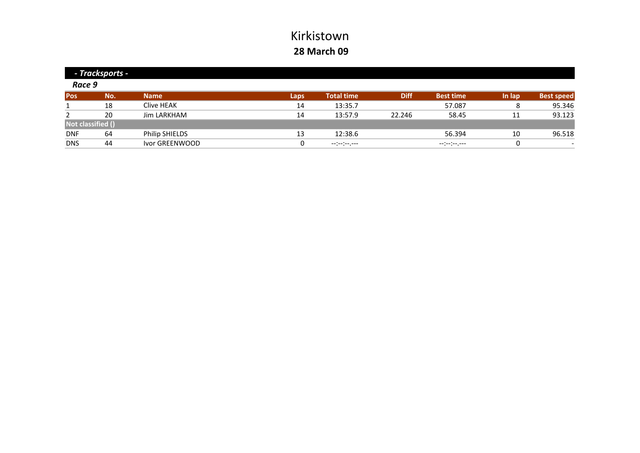|                   | - Tracksports - |                |      |                                  |             |                  |        |                          |  |
|-------------------|-----------------|----------------|------|----------------------------------|-------------|------------------|--------|--------------------------|--|
| Race 9            |                 |                |      |                                  |             |                  |        |                          |  |
| Pos               | No.             | <b>Name</b>    | Laps | <b>Total time</b>                | <b>Diff</b> | <b>Best time</b> | In lap | <b>Best speed</b>        |  |
|                   | 18              | Clive HEAK     | 14   | 13:35.7                          |             | 57.087           | 8      | 95.346                   |  |
|                   | 20              | Jim LARKHAM    | 14   | 13:57.9                          | 22.246      | 58.45            | 11     | 93.123                   |  |
| Not classified () |                 |                |      |                                  |             |                  |        |                          |  |
| <b>DNF</b>        | 64              | Philip SHIELDS | 13   | 12:38.6                          |             | 56.394           | 10     | 96.518                   |  |
| <b>DNS</b>        | 44              | Ivor GREENWOOD |      | $-1$ , $-1$ , $-1$ , $-1$ , $-1$ |             | --:-:-----       | 0      | $\overline{\phantom{0}}$ |  |